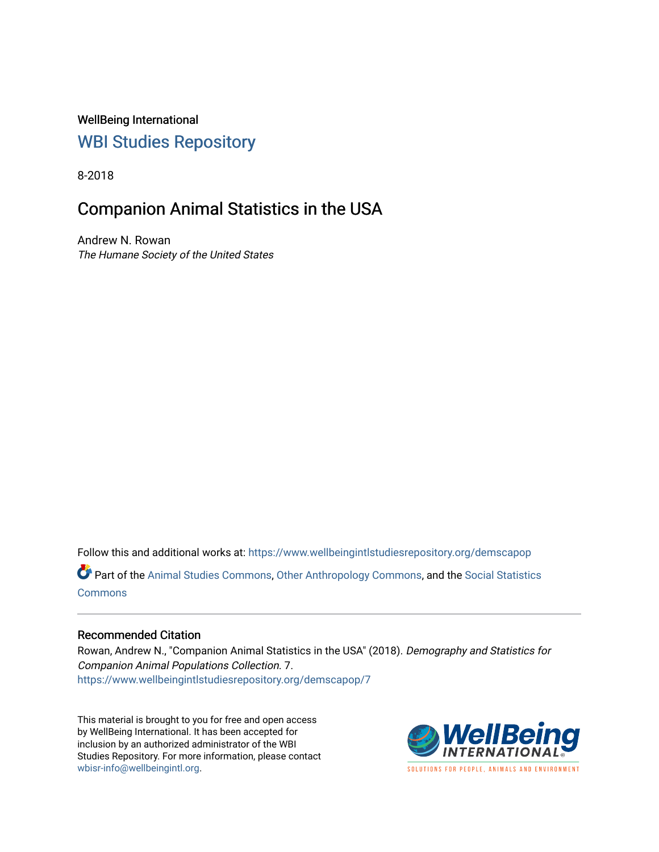WellBeing International [WBI Studies Repository](https://www.wellbeingintlstudiesrepository.org/)

8-2018

# Companion Animal Statistics in the USA

Andrew N. Rowan The Humane Society of the United States

Follow this and additional works at: [https://www.wellbeingintlstudiesrepository.org/demscapop](https://www.wellbeingintlstudiesrepository.org/demscapop?utm_source=www.wellbeingintlstudiesrepository.org%2Fdemscapop%2F7&utm_medium=PDF&utm_campaign=PDFCoverPages)  Part of the [Animal Studies Commons,](http://network.bepress.com/hgg/discipline/1306?utm_source=www.wellbeingintlstudiesrepository.org%2Fdemscapop%2F7&utm_medium=PDF&utm_campaign=PDFCoverPages) [Other Anthropology Commons](http://network.bepress.com/hgg/discipline/324?utm_source=www.wellbeingintlstudiesrepository.org%2Fdemscapop%2F7&utm_medium=PDF&utm_campaign=PDFCoverPages), and the [Social Statistics](http://network.bepress.com/hgg/discipline/1275?utm_source=www.wellbeingintlstudiesrepository.org%2Fdemscapop%2F7&utm_medium=PDF&utm_campaign=PDFCoverPages) [Commons](http://network.bepress.com/hgg/discipline/1275?utm_source=www.wellbeingintlstudiesrepository.org%2Fdemscapop%2F7&utm_medium=PDF&utm_campaign=PDFCoverPages)

# Recommended Citation

Rowan, Andrew N., "Companion Animal Statistics in the USA" (2018). Demography and Statistics for Companion Animal Populations Collection. 7. [https://www.wellbeingintlstudiesrepository.org/demscapop/7](https://www.wellbeingintlstudiesrepository.org/demscapop/7?utm_source=www.wellbeingintlstudiesrepository.org%2Fdemscapop%2F7&utm_medium=PDF&utm_campaign=PDFCoverPages) 

This material is brought to you for free and open access by WellBeing International. It has been accepted for inclusion by an authorized administrator of the WBI Studies Repository. For more information, please contact [wbisr-info@wellbeingintl.org](mailto:wbisr-info@wellbeingintl.org).



SOLUTIONS FOR PEOPLE. ANIMALS AND ENVIRONMENT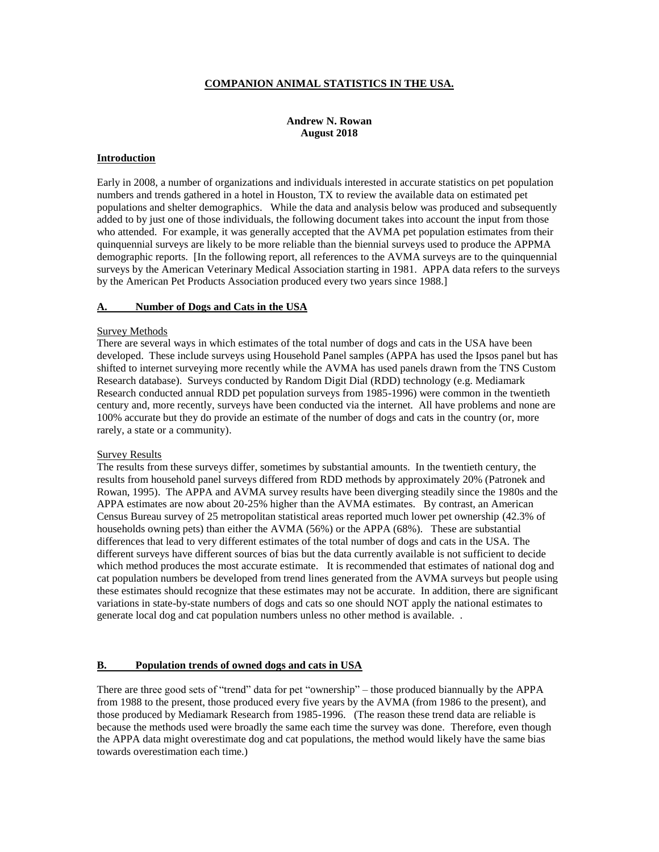## **COMPANION ANIMAL STATISTICS IN THE USA.**

# **Andrew N. Rowan August 2018**

#### **Introduction**

Early in 2008, a number of organizations and individuals interested in accurate statistics on pet population numbers and trends gathered in a hotel in Houston, TX to review the available data on estimated pet populations and shelter demographics. While the data and analysis below was produced and subsequently added to by just one of those individuals, the following document takes into account the input from those who attended. For example, it was generally accepted that the AVMA pet population estimates from their quinquennial surveys are likely to be more reliable than the biennial surveys used to produce the APPMA demographic reports. [In the following report, all references to the AVMA surveys are to the quinquennial surveys by the American Veterinary Medical Association starting in 1981. APPA data refers to the surveys by the American Pet Products Association produced every two years since 1988.]

#### **A. Number of Dogs and Cats in the USA**

#### Survey Methods

There are several ways in which estimates of the total number of dogs and cats in the USA have been developed. These include surveys using Household Panel samples (APPA has used the Ipsos panel but has shifted to internet surveying more recently while the AVMA has used panels drawn from the TNS Custom Research database). Surveys conducted by Random Digit Dial (RDD) technology (e.g. Mediamark Research conducted annual RDD pet population surveys from 1985-1996) were common in the twentieth century and, more recently, surveys have been conducted via the internet. All have problems and none are 100% accurate but they do provide an estimate of the number of dogs and cats in the country (or, more rarely, a state or a community).

#### Survey Results

The results from these surveys differ, sometimes by substantial amounts. In the twentieth century, the results from household panel surveys differed from RDD methods by approximately 20% (Patronek and Rowan, 1995). The APPA and AVMA survey results have been diverging steadily since the 1980s and the APPA estimates are now about 20-25% higher than the AVMA estimates. By contrast, an American Census Bureau survey of 25 metropolitan statistical areas reported much lower pet ownership (42.3% of households owning pets) than either the AVMA (56%) or the APPA (68%). These are substantial differences that lead to very different estimates of the total number of dogs and cats in the USA. The different surveys have different sources of bias but the data currently available is not sufficient to decide which method produces the most accurate estimate. It is recommended that estimates of national dog and cat population numbers be developed from trend lines generated from the AVMA surveys but people using these estimates should recognize that these estimates may not be accurate. In addition, there are significant variations in state-by-state numbers of dogs and cats so one should NOT apply the national estimates to generate local dog and cat population numbers unless no other method is available. .

#### **B. Population trends of owned dogs and cats in USA**

There are three good sets of "trend" data for pet "ownership" – those produced biannually by the APPA from 1988 to the present, those produced every five years by the AVMA (from 1986 to the present), and those produced by Mediamark Research from 1985-1996. (The reason these trend data are reliable is because the methods used were broadly the same each time the survey was done. Therefore, even though the APPA data might overestimate dog and cat populations, the method would likely have the same bias towards overestimation each time.)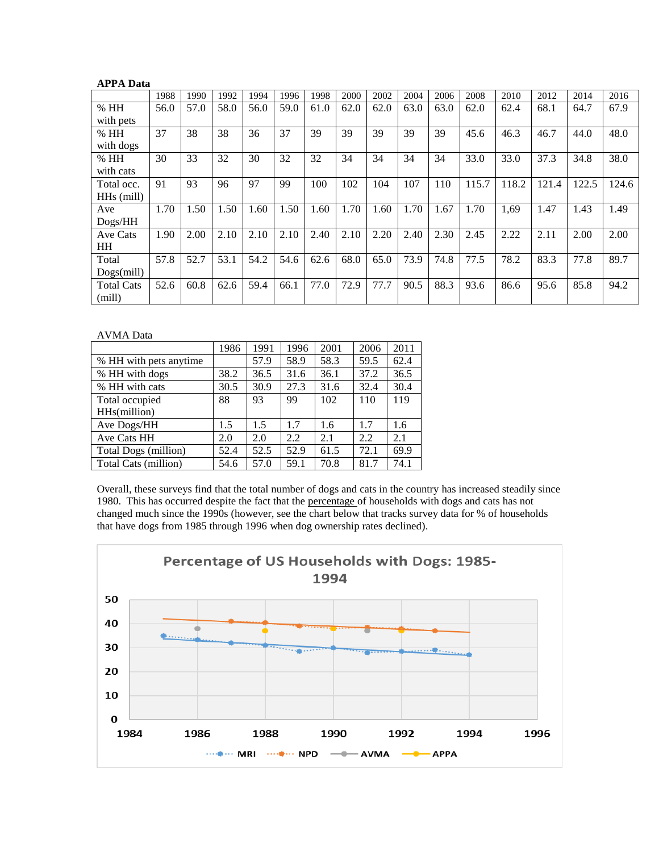| <b>APPA Data</b>  |      |      |      |      |      |      |      |      |      |      |       |       |       |       |       |
|-------------------|------|------|------|------|------|------|------|------|------|------|-------|-------|-------|-------|-------|
|                   | 1988 | 1990 | 1992 | 1994 | 1996 | 1998 | 2000 | 2002 | 2004 | 2006 | 2008  | 2010  | 2012  | 2014  | 2016  |
| %HH               | 56.0 | 57.0 | 58.0 | 56.0 | 59.0 | 61.0 | 62.0 | 62.0 | 63.0 | 63.0 | 62.0  | 62.4  | 68.1  | 64.7  | 67.9  |
| with pets         |      |      |      |      |      |      |      |      |      |      |       |       |       |       |       |
| %HH               | 37   | 38   | 38   | 36   | 37   | 39   | 39   | 39   | 39   | 39   | 45.6  | 46.3  | 46.7  | 44.0  | 48.0  |
| with dogs         |      |      |      |      |      |      |      |      |      |      |       |       |       |       |       |
| %HH               | 30   | 33   | 32   | 30   | 32   | 32   | 34   | 34   | 34   | 34   | 33.0  | 33.0  | 37.3  | 34.8  | 38.0  |
| with cats         |      |      |      |      |      |      |      |      |      |      |       |       |       |       |       |
| Total occ.        | 91   | 93   | 96   | 97   | 99   | 100  | 102  | 104  | 107  | 110  | 115.7 | 118.2 | 121.4 | 122.5 | 124.6 |
| HHs (mill)        |      |      |      |      |      |      |      |      |      |      |       |       |       |       |       |
| Ave               | 1.70 | 1.50 | 1.50 | 1.60 | 1.50 | 1.60 | 1.70 | 1.60 | 1.70 | 1.67 | 1.70  | 1,69  | 1.47  | 1.43  | 1.49  |
| Dogs/HH           |      |      |      |      |      |      |      |      |      |      |       |       |       |       |       |
| Ave Cats          | 1.90 | 2.00 | 2.10 | 2.10 | 2.10 | 2.40 | 2.10 | 2.20 | 2.40 | 2.30 | 2.45  | 2.22  | 2.11  | 2.00  | 2.00  |
| HH                |      |      |      |      |      |      |      |      |      |      |       |       |       |       |       |
| Total             | 57.8 | 52.7 | 53.1 | 54.2 | 54.6 | 62.6 | 68.0 | 65.0 | 73.9 | 74.8 | 77.5  | 78.2  | 83.3  | 77.8  | 89.7  |
| Dogs(mill)        |      |      |      |      |      |      |      |      |      |      |       |       |       |       |       |
| <b>Total Cats</b> | 52.6 | 60.8 | 62.6 | 59.4 | 66.1 | 77.0 | 72.9 | 77.7 | 90.5 | 88.3 | 93.6  | 86.6  | 95.6  | 85.8  | 94.2  |
| (mill)            |      |      |      |      |      |      |      |      |      |      |       |       |       |       |       |

AVMA Data

|                        | 1986 | 1991 | 1996 | 2001 | 2006 | 2011 |
|------------------------|------|------|------|------|------|------|
| % HH with pets anytime |      | 57.9 | 58.9 | 58.3 | 59.5 | 62.4 |
| % HH with dogs         | 38.2 | 36.5 | 31.6 | 36.1 | 37.2 | 36.5 |
| % HH with cats         | 30.5 | 30.9 | 27.3 | 31.6 | 32.4 | 30.4 |
| Total occupied         | 88   | 93   | 99   | 102  | 110  | 119  |
| HHs(million)           |      |      |      |      |      |      |
| Ave Dogs/HH            | 1.5  | 1.5  | 1.7  | 1.6  | 1.7  | 1.6  |
| Ave Cats HH            | 2.0  | 2.0  | 2.2  | 2.1  | 2.2  | 2.1  |
| Total Dogs (million)   | 52.4 | 52.5 | 52.9 | 61.5 | 72.1 | 69.9 |
| Total Cats (million)   | 54.6 | 57.0 | 59.1 | 70.8 | 81.7 | 74.1 |

Overall, these surveys find that the total number of dogs and cats in the country has increased steadily since 1980. This has occurred despite the fact that the percentage of households with dogs and cats has not changed much since the 1990s (however, see the chart below that tracks survey data for % of households that have dogs from 1985 through 1996 when dog ownership rates declined).

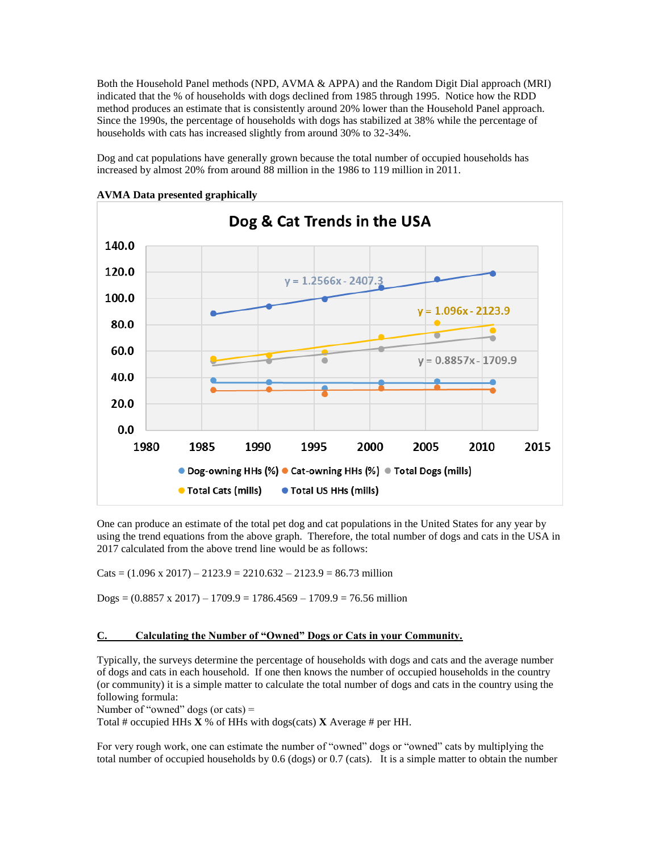Both the Household Panel methods (NPD, AVMA & APPA) and the Random Digit Dial approach (MRI) indicated that the % of households with dogs declined from 1985 through 1995. Notice how the RDD method produces an estimate that is consistently around 20% lower than the Household Panel approach. Since the 1990s, the percentage of households with dogs has stabilized at 38% while the percentage of households with cats has increased slightly from around 30% to 32-34%.

Dog and cat populations have generally grown because the total number of occupied households has increased by almost 20% from around 88 million in the 1986 to 119 million in 2011.



**AVMA Data presented graphically**

One can produce an estimate of the total pet dog and cat populations in the United States for any year by using the trend equations from the above graph. Therefore, the total number of dogs and cats in the USA in 2017 calculated from the above trend line would be as follows:

Cats =  $(1.096 \times 2017) - 2123.9 = 2210.632 - 2123.9 = 86.73$  million

 $\text{Dogs} = (0.8857 \times 2017) - 1709.9 = 1786.4569 - 1709.9 = 76.56 \text{ million}$ 

#### **C. Calculating the Number of "Owned" Dogs or Cats in your Community.**

Typically, the surveys determine the percentage of households with dogs and cats and the average number of dogs and cats in each household. If one then knows the number of occupied households in the country (or community) it is a simple matter to calculate the total number of dogs and cats in the country using the following formula:

Number of "owned" dogs (or cats)  $=$ 

Total # occupied HHs **X** % of HHs with dogs(cats) **X** Average # per HH.

For very rough work, one can estimate the number of "owned" dogs or "owned" cats by multiplying the total number of occupied households by 0.6 (dogs) or 0.7 (cats). It is a simple matter to obtain the number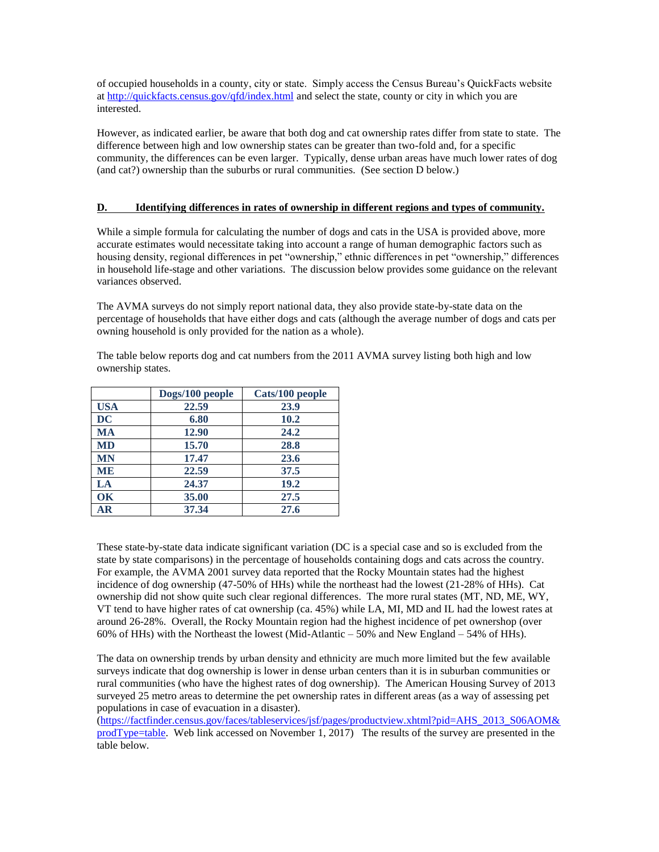of occupied households in a county, city or state. Simply access the Census Bureau's QuickFacts website a[t http://quickfacts.census.gov/qfd/index.html](http://quickfacts.census.gov/qfd/index.html) and select the state, county or city in which you are interested.

However, as indicated earlier, be aware that both dog and cat ownership rates differ from state to state. The difference between high and low ownership states can be greater than two-fold and, for a specific community, the differences can be even larger. Typically, dense urban areas have much lower rates of dog (and cat?) ownership than the suburbs or rural communities. (See section D below.)

## **D. Identifying differences in rates of ownership in different regions and types of community.**

While a simple formula for calculating the number of dogs and cats in the USA is provided above, more accurate estimates would necessitate taking into account a range of human demographic factors such as housing density, regional differences in pet "ownership," ethnic differences in pet "ownership," differences in household life-stage and other variations. The discussion below provides some guidance on the relevant variances observed.

The AVMA surveys do not simply report national data, they also provide state-by-state data on the percentage of households that have either dogs and cats (although the average number of dogs and cats per owning household is only provided for the nation as a whole).

The table below reports dog and cat numbers from the 2011 AVMA survey listing both high and low ownership states.

|            | Dogs/100 people | Cats/100 people |
|------------|-----------------|-----------------|
| <b>USA</b> | 22.59           | 23.9            |
| <b>DC</b>  | 6.80            | 10.2            |
| <b>MA</b>  | 12.90           | 24.2            |
| <b>MD</b>  | 15.70           | 28.8            |
| <b>MN</b>  | 17.47           | 23.6            |
| <b>ME</b>  | 22.59           | 37.5            |
| LA         | 24.37           | 19.2            |
| $\alpha$   | 35.00           | 27.5            |
| AR         | 37.34           | 27.6            |

These state-by-state data indicate significant variation (DC is a special case and so is excluded from the state by state comparisons) in the percentage of households containing dogs and cats across the country. For example, the AVMA 2001 survey data reported that the Rocky Mountain states had the highest incidence of dog ownership (47-50% of HHs) while the northeast had the lowest (21-28% of HHs). Cat ownership did not show quite such clear regional differences. The more rural states (MT, ND, ME, WY, VT tend to have higher rates of cat ownership (ca. 45%) while LA, MI, MD and IL had the lowest rates at around 26-28%. Overall, the Rocky Mountain region had the highest incidence of pet ownershop (over 60% of HHs) with the Northeast the lowest (Mid-Atlantic – 50% and New England – 54% of HHs).

The data on ownership trends by urban density and ethnicity are much more limited but the few available surveys indicate that dog ownership is lower in dense urban centers than it is in suburban communities or rural communities (who have the highest rates of dog ownership). The American Housing Survey of 2013 surveyed 25 metro areas to determine the pet ownership rates in different areas (as a way of assessing pet populations in case of evacuation in a disaster).

[\(https://factfinder.census.gov/faces/tableservices/jsf/pages/productview.xhtml?pid=AHS\\_2013\\_S06AOM&](https://factfinder.census.gov/faces/tableservices/jsf/pages/productview.xhtml?pid=AHS_2013_S06AOM&prodType=table) [prodType=table.](https://factfinder.census.gov/faces/tableservices/jsf/pages/productview.xhtml?pid=AHS_2013_S06AOM&prodType=table) Web link accessed on November 1, 2017) The results of the survey are presented in the table below.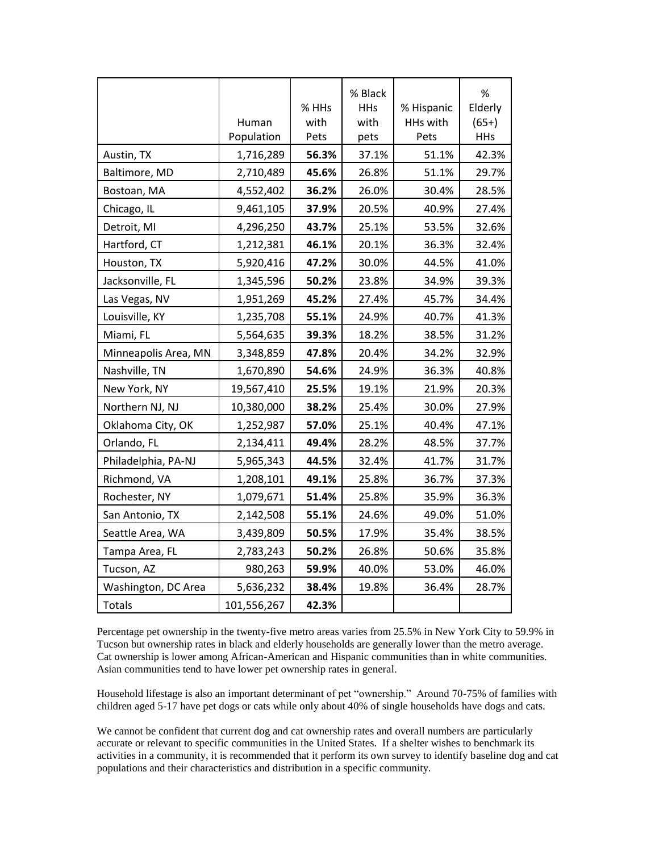|                      |             | % HHs | % Black<br><b>HHs</b> | % Hispanic | %<br>Elderly |
|----------------------|-------------|-------|-----------------------|------------|--------------|
|                      | Human       | with  | with                  | HHs with   | $(65+)$      |
|                      | Population  | Pets  | pets                  | Pets       | <b>HHs</b>   |
| Austin, TX           | 1,716,289   | 56.3% | 37.1%                 | 51.1%      | 42.3%        |
| Baltimore, MD        | 2,710,489   | 45.6% | 26.8%                 | 51.1%      | 29.7%        |
| Bostoan, MA          | 4,552,402   | 36.2% | 26.0%                 | 30.4%      | 28.5%        |
| Chicago, IL          | 9,461,105   | 37.9% | 20.5%                 | 40.9%      | 27.4%        |
| Detroit, MI          | 4,296,250   | 43.7% | 25.1%                 | 53.5%      | 32.6%        |
| Hartford, CT         | 1,212,381   | 46.1% | 20.1%                 | 36.3%      | 32.4%        |
| Houston, TX          | 5,920,416   | 47.2% | 30.0%                 | 44.5%      | 41.0%        |
| Jacksonville, FL     | 1,345,596   | 50.2% | 23.8%                 | 34.9%      | 39.3%        |
| Las Vegas, NV        | 1,951,269   | 45.2% | 27.4%                 | 45.7%      | 34.4%        |
| Louisville, KY       | 1,235,708   | 55.1% | 24.9%                 | 40.7%      | 41.3%        |
| Miami, FL            | 5,564,635   | 39.3% | 18.2%                 | 38.5%      | 31.2%        |
| Minneapolis Area, MN | 3,348,859   | 47.8% | 20.4%                 | 34.2%      | 32.9%        |
| Nashville, TN        | 1,670,890   | 54.6% | 24.9%                 | 36.3%      | 40.8%        |
| New York, NY         | 19,567,410  | 25.5% | 19.1%                 | 21.9%      | 20.3%        |
| Northern NJ, NJ      | 10,380,000  | 38.2% | 25.4%                 | 30.0%      | 27.9%        |
| Oklahoma City, OK    | 1,252,987   | 57.0% | 25.1%                 | 40.4%      | 47.1%        |
| Orlando, FL          | 2,134,411   | 49.4% | 28.2%                 | 48.5%      | 37.7%        |
| Philadelphia, PA-NJ  | 5,965,343   | 44.5% | 32.4%                 | 41.7%      | 31.7%        |
| Richmond, VA         | 1,208,101   | 49.1% | 25.8%                 | 36.7%      | 37.3%        |
| Rochester, NY        | 1,079,671   | 51.4% | 25.8%                 | 35.9%      | 36.3%        |
| San Antonio, TX      | 2,142,508   | 55.1% | 24.6%                 | 49.0%      | 51.0%        |
| Seattle Area, WA     | 3,439,809   | 50.5% | 17.9%                 | 35.4%      | 38.5%        |
| Tampa Area, FL       | 2,783,243   | 50.2% | 26.8%                 | 50.6%      | 35.8%        |
| Tucson, AZ           | 980,263     | 59.9% | 40.0%                 | 53.0%      | 46.0%        |
| Washington, DC Area  | 5,636,232   | 38.4% | 19.8%                 | 36.4%      | 28.7%        |
| <b>Totals</b>        | 101,556,267 | 42.3% |                       |            |              |

Percentage pet ownership in the twenty-five metro areas varies from 25.5% in New York City to 59.9% in Tucson but ownership rates in black and elderly households are generally lower than the metro average. Cat ownership is lower among African-American and Hispanic communities than in white communities. Asian communities tend to have lower pet ownership rates in general.

Household lifestage is also an important determinant of pet "ownership." Around 70-75% of families with children aged 5-17 have pet dogs or cats while only about 40% of single households have dogs and cats.

We cannot be confident that current dog and cat ownership rates and overall numbers are particularly accurate or relevant to specific communities in the United States. If a shelter wishes to benchmark its activities in a community, it is recommended that it perform its own survey to identify baseline dog and cat populations and their characteristics and distribution in a specific community.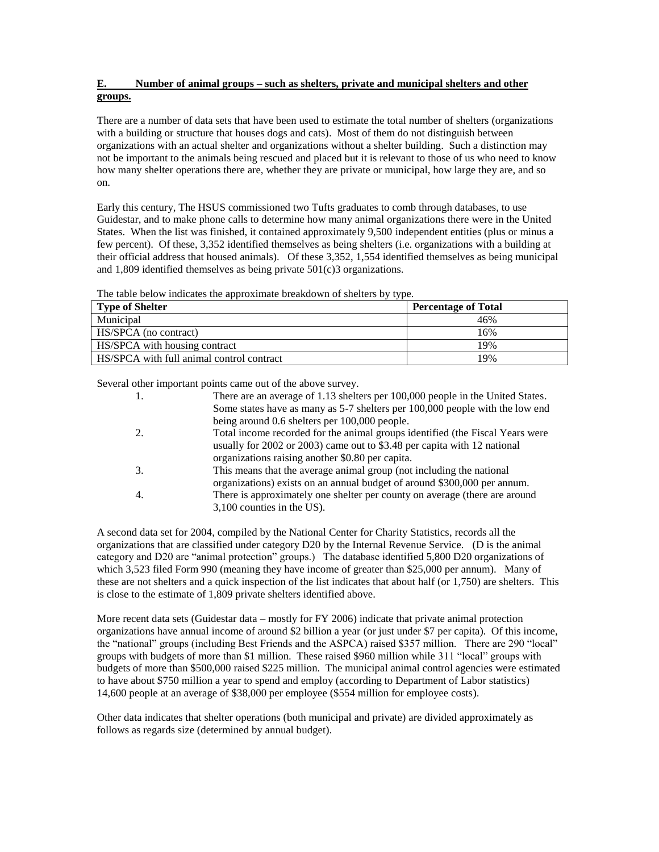# **E. Number of animal groups – such as shelters, private and municipal shelters and other groups.**

There are a number of data sets that have been used to estimate the total number of shelters (organizations with a building or structure that houses dogs and cats). Most of them do not distinguish between organizations with an actual shelter and organizations without a shelter building. Such a distinction may not be important to the animals being rescued and placed but it is relevant to those of us who need to know how many shelter operations there are, whether they are private or municipal, how large they are, and so on.

Early this century, The HSUS commissioned two Tufts graduates to comb through databases, to use Guidestar, and to make phone calls to determine how many animal organizations there were in the United States. When the list was finished, it contained approximately 9,500 independent entities (plus or minus a few percent). Of these, 3,352 identified themselves as being shelters (i.e. organizations with a building at their official address that housed animals). Of these 3,352, 1,554 identified themselves as being municipal and 1,809 identified themselves as being private 501(c)3 organizations.

The table below indicates the approximate breakdown of shelters by type.

| <i>. .</i> .<br><b>Type of Shelter</b>    | <b>Percentage of Total</b> |
|-------------------------------------------|----------------------------|
| Municipal                                 | 46%                        |
| HS/SPCA (no contract)                     | 16%                        |
| HS/SPCA with housing contract             | 19%                        |
| HS/SPCA with full animal control contract | 19%                        |

Several other important points came out of the above survey.

| 1.               | There are an average of 1.13 shelters per 100,000 people in the United States. |
|------------------|--------------------------------------------------------------------------------|
|                  | Some states have as many as 5-7 shelters per 100,000 people with the low end   |
|                  | being around 0.6 shelters per 100,000 people.                                  |
| 2.               | Total income recorded for the animal groups identified (the Fiscal Years were  |
|                  | usually for 2002 or 2003) came out to \$3.48 per capita with 12 national       |
|                  | organizations raising another \$0.80 per capita.                               |
| 3.               | This means that the average animal group (not including the national           |
|                  | organizations) exists on an annual budget of around \$300,000 per annum.       |
| $\overline{4}$ . | There is approximately one shelter per county on average (there are around     |
|                  | $3,100$ counties in the US).                                                   |

A second data set for 2004, compiled by the National Center for Charity Statistics, records all the organizations that are classified under category D20 by the Internal Revenue Service. (D is the animal category and D20 are "animal protection" groups.) The database identified 5,800 D20 organizations of which 3,523 filed Form 990 (meaning they have income of greater than \$25,000 per annum). Many of these are not shelters and a quick inspection of the list indicates that about half (or 1,750) are shelters. This is close to the estimate of 1,809 private shelters identified above.

More recent data sets (Guidestar data – mostly for FY 2006) indicate that private animal protection organizations have annual income of around \$2 billion a year (or just under \$7 per capita). Of this income, the "national" groups (including Best Friends and the ASPCA) raised \$357 million. There are 290 "local" groups with budgets of more than \$1 million. These raised \$960 million while 311 "local" groups with budgets of more than \$500,000 raised \$225 million. The municipal animal control agencies were estimated to have about \$750 million a year to spend and employ (according to Department of Labor statistics) 14,600 people at an average of \$38,000 per employee (\$554 million for employee costs).

Other data indicates that shelter operations (both municipal and private) are divided approximately as follows as regards size (determined by annual budget).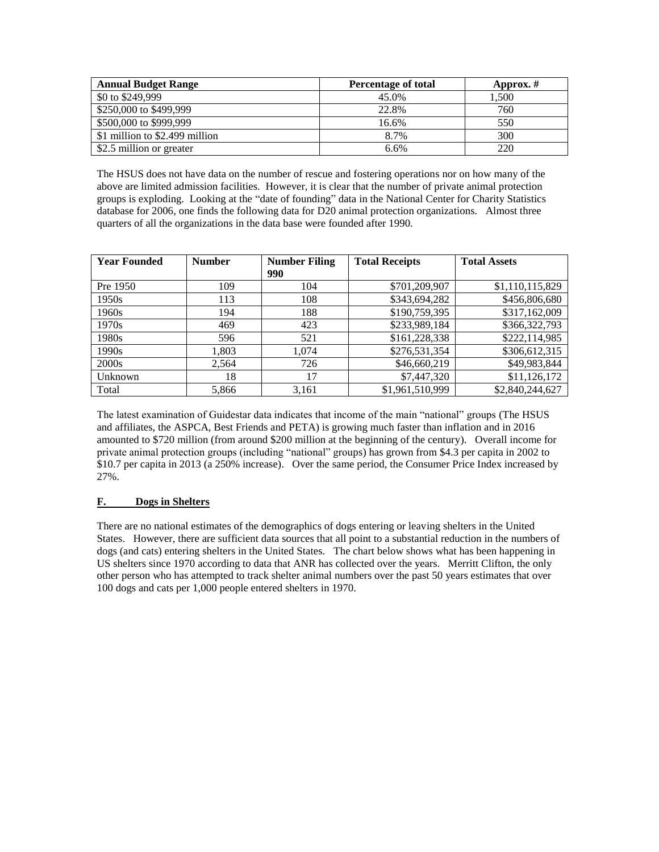| <b>Annual Budget Range</b>     | Percentage of total | Approx. $#$ |
|--------------------------------|---------------------|-------------|
| \$0 to \$249,999               | 45.0%               | 1.500       |
| \$250,000 to \$499,999         | 22.8%               | 760         |
| \$500,000 to \$999,999         | 16.6%               | 550         |
| \$1 million to \$2.499 million | 8.7%                | 300         |
| \$2.5 million or greater       | 6.6%                | 220         |

The HSUS does not have data on the number of rescue and fostering operations nor on how many of the above are limited admission facilities. However, it is clear that the number of private animal protection groups is exploding. Looking at the "date of founding" data in the National Center for Charity Statistics database for 2006, one finds the following data for D20 animal protection organizations. Almost three quarters of all the organizations in the data base were founded after 1990.

| <b>Year Founded</b> | <b>Number</b> | <b>Number Filing</b> | <b>Total Receipts</b> | <b>Total Assets</b> |
|---------------------|---------------|----------------------|-----------------------|---------------------|
|                     |               | 990                  |                       |                     |
| Pre 1950            | 109           | 104                  | \$701,209,907         | \$1,110,115,829     |
| 1950s               | 113           | 108                  | \$343,694,282         | \$456,806,680       |
| 1960s               | 194           | 188                  | \$190,759,395         | \$317,162,009       |
| 1970s               | 469           | 423                  | \$233,989,184         | \$366,322,793       |
| 1980s               | 596           | 521                  | \$161,228,338         | \$222,114,985       |
| 1990s               | 1,803         | 1.074                | \$276,531,354         | \$306,612,315       |
| 2000s               | 2,564         | 726                  | \$46,660,219          | \$49,983,844        |
| Unknown             | 18            | 17                   | \$7,447,320           | \$11,126,172        |
| Total               | 5,866         | 3,161                | \$1,961,510,999       | \$2,840,244,627     |

The latest examination of Guidestar data indicates that income of the main "national" groups (The HSUS and affiliates, the ASPCA, Best Friends and PETA) is growing much faster than inflation and in 2016 amounted to \$720 million (from around \$200 million at the beginning of the century). Overall income for private animal protection groups (including "national" groups) has grown from \$4.3 per capita in 2002 to \$10.7 per capita in 2013 (a 250% increase). Over the same period, the Consumer Price Index increased by 27%.

## **F. Dogs in Shelters**

There are no national estimates of the demographics of dogs entering or leaving shelters in the United States. However, there are sufficient data sources that all point to a substantial reduction in the numbers of dogs (and cats) entering shelters in the United States. The chart below shows what has been happening in US shelters since 1970 according to data that ANR has collected over the years. Merritt Clifton, the only other person who has attempted to track shelter animal numbers over the past 50 years estimates that over 100 dogs and cats per 1,000 people entered shelters in 1970.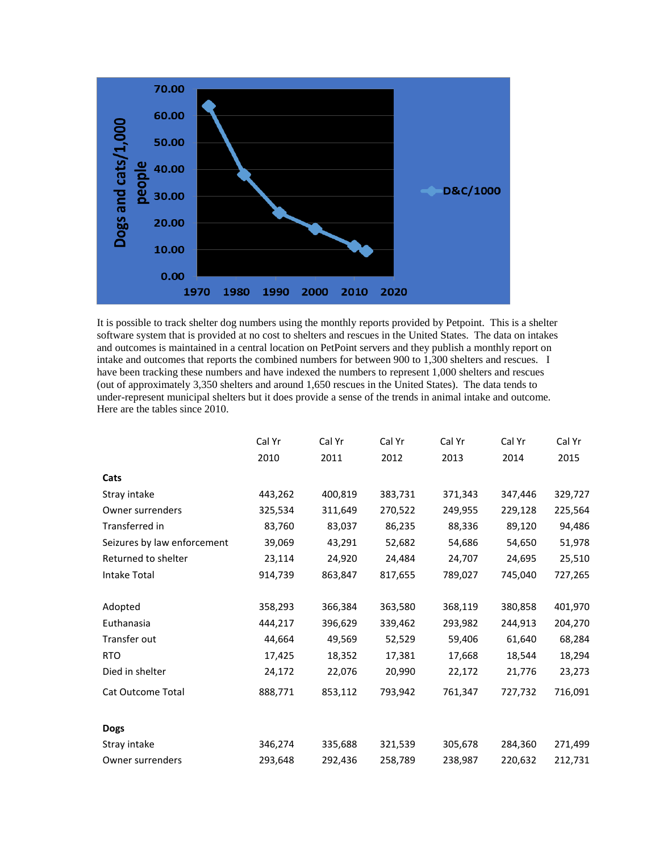

It is possible to track shelter dog numbers using the monthly reports provided by Petpoint. This is a shelter software system that is provided at no cost to shelters and rescues in the United States. The data on intakes and outcomes is maintained in a central location on PetPoint servers and they publish a monthly report on intake and outcomes that reports the combined numbers for between 900 to 1,300 shelters and rescues. I have been tracking these numbers and have indexed the numbers to represent 1,000 shelters and rescues (out of approximately 3,350 shelters and around 1,650 rescues in the United States). The data tends to under-represent municipal shelters but it does provide a sense of the trends in animal intake and outcome. Here are the tables since 2010.

| Cal Yr  | Cal Yr  | Cal Yr  | Cal Yr  | Cal Yr  | Cal Yr  |
|---------|---------|---------|---------|---------|---------|
| 2010    | 2011    | 2012    | 2013    | 2014    | 2015    |
|         |         |         |         |         |         |
| 443,262 | 400,819 | 383,731 | 371,343 | 347,446 | 329,727 |
| 325,534 | 311,649 | 270,522 | 249,955 | 229,128 | 225,564 |
| 83,760  | 83,037  | 86,235  | 88,336  | 89,120  | 94,486  |
| 39,069  | 43,291  | 52,682  | 54,686  | 54,650  | 51,978  |
| 23,114  | 24,920  | 24,484  | 24,707  | 24,695  | 25,510  |
| 914,739 | 863,847 | 817,655 | 789,027 | 745,040 | 727,265 |
| 358,293 | 366,384 | 363,580 | 368,119 | 380,858 | 401,970 |
| 444,217 | 396,629 | 339,462 | 293,982 | 244,913 | 204,270 |
| 44,664  | 49,569  | 52,529  | 59,406  | 61,640  | 68,284  |
| 17,425  | 18,352  | 17,381  | 17,668  | 18,544  | 18,294  |
| 24,172  | 22,076  | 20,990  | 22,172  | 21,776  | 23,273  |
| 888,771 | 853,112 | 793,942 | 761,347 | 727,732 | 716,091 |
|         |         |         |         |         |         |
| 346,274 | 335,688 | 321,539 | 305,678 | 284,360 | 271,499 |
| 293,648 | 292,436 | 258,789 | 238,987 | 220,632 | 212,731 |
|         |         |         |         |         |         |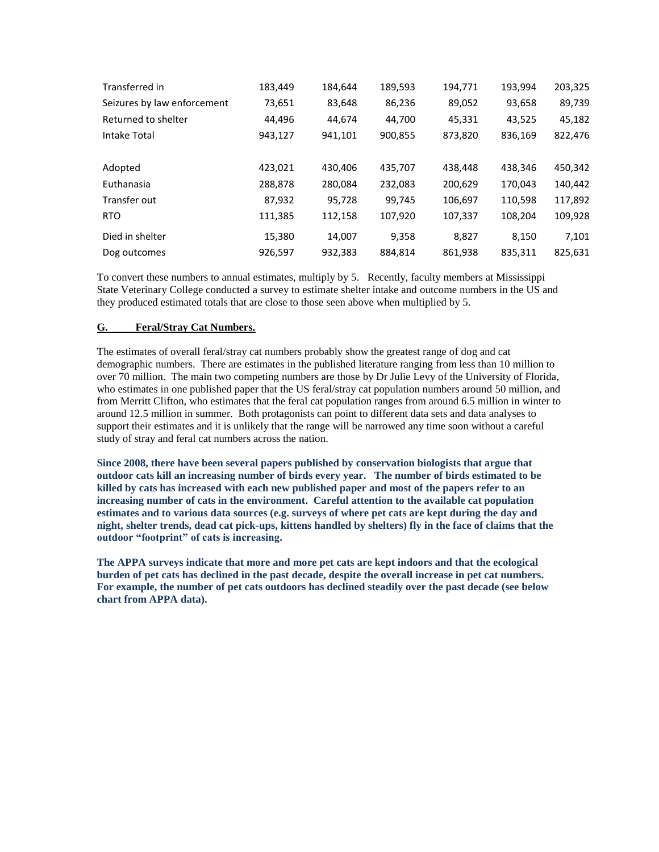| Transferred in              | 183,449 | 184.644 | 189,593 | 194,771 | 193,994 | 203,325 |
|-----------------------------|---------|---------|---------|---------|---------|---------|
| Seizures by law enforcement | 73,651  | 83,648  | 86,236  | 89,052  | 93,658  | 89,739  |
| Returned to shelter         | 44.496  | 44.674  | 44.700  | 45,331  | 43,525  | 45,182  |
| <b>Intake Total</b>         | 943,127 | 941,101 | 900,855 | 873,820 | 836,169 | 822,476 |
|                             |         |         |         |         |         |         |
| Adopted                     | 423,021 | 430,406 | 435,707 | 438,448 | 438,346 | 450,342 |
| Euthanasia                  | 288,878 | 280,084 | 232,083 | 200,629 | 170,043 | 140,442 |
| Transfer out                | 87,932  | 95,728  | 99,745  | 106,697 | 110,598 | 117,892 |
| <b>RTO</b>                  | 111,385 | 112,158 | 107,920 | 107,337 | 108,204 | 109,928 |
| Died in shelter             | 15,380  | 14,007  | 9,358   | 8,827   | 8,150   | 7,101   |
| Dog outcomes                | 926,597 | 932,383 | 884,814 | 861,938 | 835,311 | 825,631 |

To convert these numbers to annual estimates, multiply by 5. Recently, faculty members at Mississippi State Veterinary College conducted a survey to estimate shelter intake and outcome numbers in the US and they produced estimated totals that are close to those seen above when multiplied by 5.

## **G. Feral/Stray Cat Numbers.**

The estimates of overall feral/stray cat numbers probably show the greatest range of dog and cat demographic numbers. There are estimates in the published literature ranging from less than 10 million to over 70 million. The main two competing numbers are those by Dr Julie Levy of the University of Florida, who estimates in one published paper that the US feral/stray cat population numbers around 50 million, and from Merritt Clifton, who estimates that the feral cat population ranges from around 6.5 million in winter to around 12.5 million in summer. Both protagonists can point to different data sets and data analyses to support their estimates and it is unlikely that the range will be narrowed any time soon without a careful study of stray and feral cat numbers across the nation.

**Since 2008, there have been several papers published by conservation biologists that argue that outdoor cats kill an increasing number of birds every year. The number of birds estimated to be killed by cats has increased with each new published paper and most of the papers refer to an increasing number of cats in the environment. Careful attention to the available cat population estimates and to various data sources (e.g. surveys of where pet cats are kept during the day and night, shelter trends, dead cat pick-ups, kittens handled by shelters) fly in the face of claims that the outdoor "footprint" of cats is increasing.** 

**The APPA surveys indicate that more and more pet cats are kept indoors and that the ecological burden of pet cats has declined in the past decade, despite the overall increase in pet cat numbers. For example, the number of pet cats outdoors has declined steadily over the past decade (see below chart from APPA data).**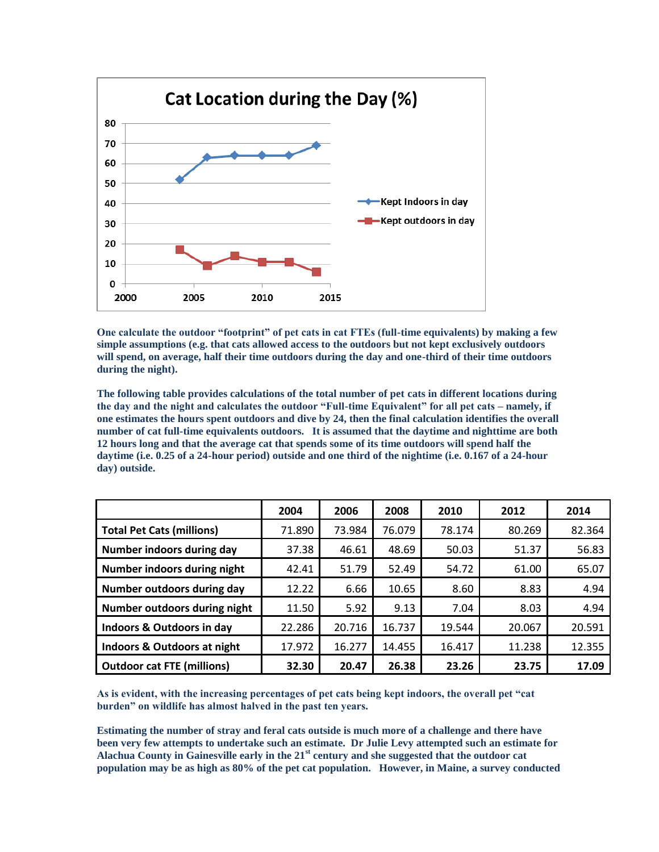

**One calculate the outdoor "footprint" of pet cats in cat FTEs (full-time equivalents) by making a few simple assumptions (e.g. that cats allowed access to the outdoors but not kept exclusively outdoors will spend, on average, half their time outdoors during the day and one-third of their time outdoors during the night).** 

**The following table provides calculations of the total number of pet cats in different locations during the day and the night and calculates the outdoor "Full-time Equivalent" for all pet cats – namely, if one estimates the hours spent outdoors and dive by 24, then the final calculation identifies the overall number of cat full-time equivalents outdoors. It is assumed that the daytime and nighttime are both 12 hours long and that the average cat that spends some of its time outdoors will spend half the daytime (i.e. 0.25 of a 24-hour period) outside and one third of the nightime (i.e. 0.167 of a 24-hour day) outside.** 

|                                   | 2004   | 2006   | 2008   | 2010   | 2012   | 2014   |
|-----------------------------------|--------|--------|--------|--------|--------|--------|
| <b>Total Pet Cats (millions)</b>  | 71.890 | 73.984 | 76.079 | 78.174 | 80.269 | 82.364 |
| Number indoors during day         | 37.38  | 46.61  | 48.69  | 50.03  | 51.37  | 56.83  |
| Number indoors during night       | 42.41  | 51.79  | 52.49  | 54.72  | 61.00  | 65.07  |
| Number outdoors during day        | 12.22  | 6.66   | 10.65  | 8.60   | 8.83   | 4.94   |
| Number outdoors during night      | 11.50  | 5.92   | 9.13   | 7.04   | 8.03   | 4.94   |
| Indoors & Outdoors in day         | 22.286 | 20.716 | 16.737 | 19.544 | 20.067 | 20.591 |
| Indoors & Outdoors at night       | 17.972 | 16.277 | 14.455 | 16.417 | 11.238 | 12.355 |
| <b>Outdoor cat FTE (millions)</b> | 32.30  | 20.47  | 26.38  | 23.26  | 23.75  | 17.09  |

**As is evident, with the increasing percentages of pet cats being kept indoors, the overall pet "cat burden" on wildlife has almost halved in the past ten years.** 

**Estimating the number of stray and feral cats outside is much more of a challenge and there have been very few attempts to undertake such an estimate. Dr Julie Levy attempted such an estimate for Alachua County in Gainesville early in the 21st century and she suggested that the outdoor cat population may be as high as 80% of the pet cat population. However, in Maine, a survey conducted**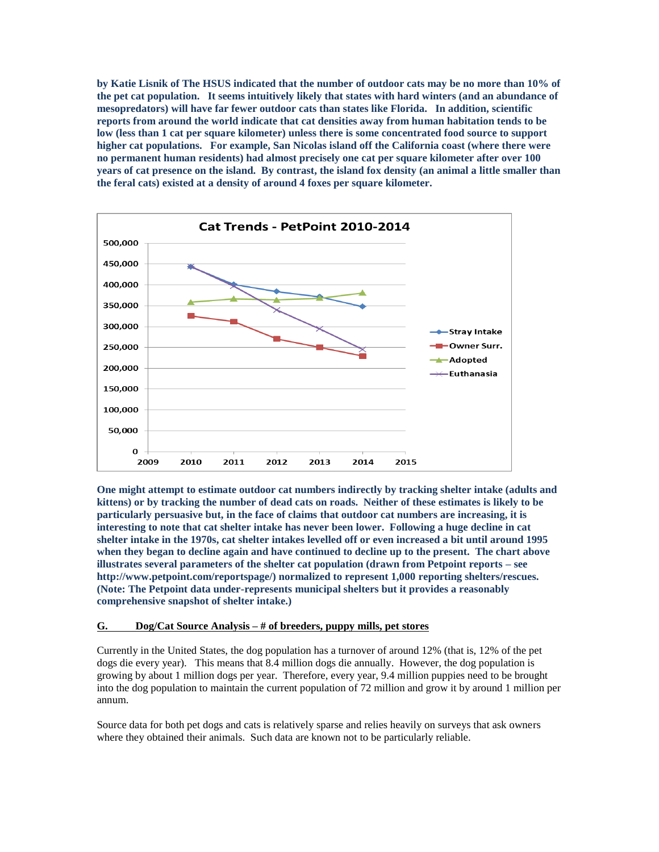**by Katie Lisnik of The HSUS indicated that the number of outdoor cats may be no more than 10% of the pet cat population. It seems intuitively likely that states with hard winters (and an abundance of mesopredators) will have far fewer outdoor cats than states like Florida. In addition, scientific reports from around the world indicate that cat densities away from human habitation tends to be low (less than 1 cat per square kilometer) unless there is some concentrated food source to support higher cat populations. For example, San Nicolas island off the California coast (where there were no permanent human residents) had almost precisely one cat per square kilometer after over 100 years of cat presence on the island. By contrast, the island fox density (an animal a little smaller than the feral cats) existed at a density of around 4 foxes per square kilometer.** 



**One might attempt to estimate outdoor cat numbers indirectly by tracking shelter intake (adults and kittens) or by tracking the number of dead cats on roads. Neither of these estimates is likely to be particularly persuasive but, in the face of claims that outdoor cat numbers are increasing, it is interesting to note that cat shelter intake has never been lower. Following a huge decline in cat shelter intake in the 1970s, cat shelter intakes levelled off or even increased a bit until around 1995 when they began to decline again and have continued to decline up to the present. The chart above illustrates several parameters of the shelter cat population (drawn from Petpoint reports – see http://www.petpoint.com/reportspage/) normalized to represent 1,000 reporting shelters/rescues. (Note: The Petpoint data under-represents municipal shelters but it provides a reasonably comprehensive snapshot of shelter intake.)**

#### **G. Dog/Cat Source Analysis – # of breeders, puppy mills, pet stores**

Currently in the United States, the dog population has a turnover of around 12% (that is, 12% of the pet dogs die every year). This means that 8.4 million dogs die annually. However, the dog population is growing by about 1 million dogs per year. Therefore, every year, 9.4 million puppies need to be brought into the dog population to maintain the current population of 72 million and grow it by around 1 million per annum.

Source data for both pet dogs and cats is relatively sparse and relies heavily on surveys that ask owners where they obtained their animals. Such data are known not to be particularly reliable.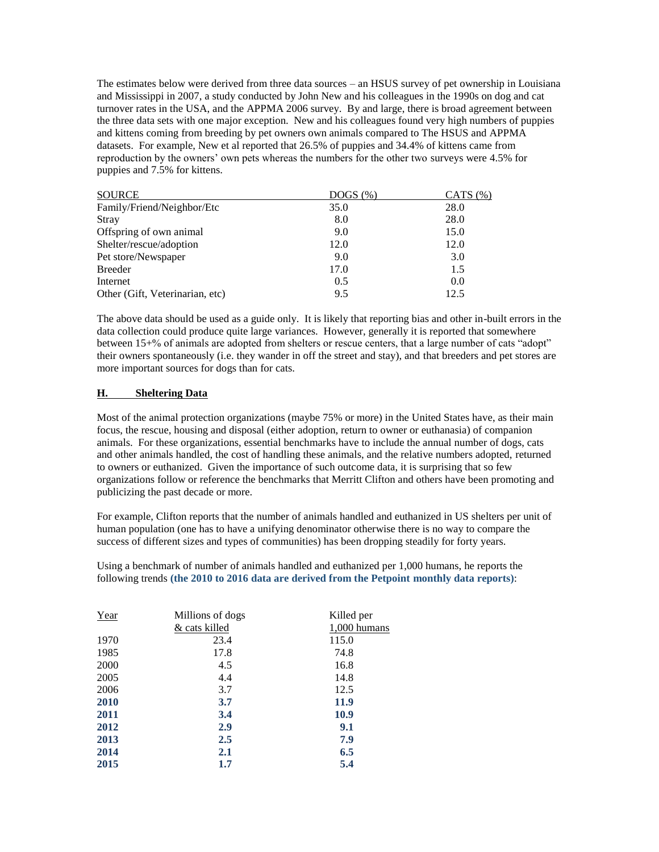The estimates below were derived from three data sources – an HSUS survey of pet ownership in Louisiana and Mississippi in 2007, a study conducted by John New and his colleagues in the 1990s on dog and cat turnover rates in the USA, and the APPMA 2006 survey. By and large, there is broad agreement between the three data sets with one major exception. New and his colleagues found very high numbers of puppies and kittens coming from breeding by pet owners own animals compared to The HSUS and APPMA datasets. For example, New et al reported that 26.5% of puppies and 34.4% of kittens came from reproduction by the owners' own pets whereas the numbers for the other two surveys were 4.5% for puppies and 7.5% for kittens.

| <b>SOURCE</b>                   | $DOGS$ $(\%)$ | CATS $(\%)$ |
|---------------------------------|---------------|-------------|
| Family/Friend/Neighbor/Etc      | 35.0          | 28.0        |
| Stray                           | 8.0           | 28.0        |
| Offspring of own animal         | 9.0           | 15.0        |
| Shelter/rescue/adoption         | 12.0          | 12.0        |
| Pet store/Newspaper             | 9.0           | 3.0         |
| <b>Breeder</b>                  | 17.0          | 1.5         |
| Internet                        | 0.5           | 0.0         |
| Other (Gift, Veterinarian, etc) | 9.5           | 12.5        |

The above data should be used as a guide only. It is likely that reporting bias and other in-built errors in the data collection could produce quite large variances. However, generally it is reported that somewhere between 15+% of animals are adopted from shelters or rescue centers, that a large number of cats "adopt" their owners spontaneously (i.e. they wander in off the street and stay), and that breeders and pet stores are more important sources for dogs than for cats.

## **H. Sheltering Data**

Most of the animal protection organizations (maybe 75% or more) in the United States have, as their main focus, the rescue, housing and disposal (either adoption, return to owner or euthanasia) of companion animals. For these organizations, essential benchmarks have to include the annual number of dogs, cats and other animals handled, the cost of handling these animals, and the relative numbers adopted, returned to owners or euthanized. Given the importance of such outcome data, it is surprising that so few organizations follow or reference the benchmarks that Merritt Clifton and others have been promoting and publicizing the past decade or more.

For example, Clifton reports that the number of animals handled and euthanized in US shelters per unit of human population (one has to have a unifying denominator otherwise there is no way to compare the success of different sizes and types of communities) has been dropping steadily for forty years.

Using a benchmark of number of animals handled and euthanized per 1,000 humans, he reports the following trends **(the 2010 to 2016 data are derived from the Petpoint monthly data reports)**:

| Year | Millions of dogs | Killed per     |  |
|------|------------------|----------------|--|
|      | & cats killed    | $1,000$ humans |  |
| 1970 | 23.4             | 115.0          |  |
| 1985 | 17.8             | 74.8           |  |
| 2000 | 4.5              | 16.8           |  |
| 2005 | 4.4              | 14.8           |  |
| 2006 | 3.7              | 12.5           |  |
| 2010 | 3.7              | 11.9           |  |
| 2011 | 3.4              | 10.9           |  |
| 2012 | 2.9              | 9.1            |  |
| 2013 | 2.5              | 7.9            |  |
| 2014 | 2.1              | 6.5            |  |
| 2015 | 1.7              | 5.4            |  |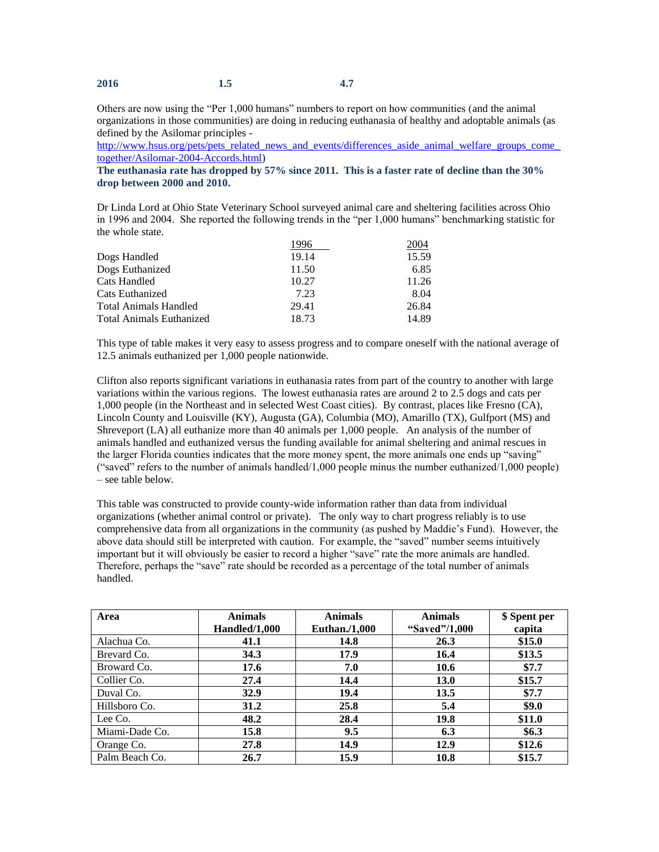| 2016 | 1.5 | 4.7 |
|------|-----|-----|
|      |     |     |

Others are now using the "Per 1,000 humans" numbers to report on how communities (and the animal organizations in those communities) are doing in reducing euthanasia of healthy and adoptable animals (as defined by the Asilomar principles -

http://www.hsus.org/pets/pets\_related\_news\_and\_events/differences\_aside\_animal\_welfare\_groups\_come [together/Asilomar-2004-Accords.html\)](http://www.hsus.org/pets/pets_related_news_and_events/differences_aside_animal_welfare_groups_come_together/Asilomar-2004-Accords.html)

**The euthanasia rate has dropped by 57% since 2011. This is a faster rate of decline than the 30% drop between 2000 and 2010.**

Dr Linda Lord at Ohio State Veterinary School surveyed animal care and sheltering facilities across Ohio in 1996 and 2004. She reported the following trends in the "per 1,000 humans" benchmarking statistic for the whole state.

|                                 | 1996  | 2004  |
|---------------------------------|-------|-------|
| Dogs Handled                    | 19.14 | 15.59 |
| Dogs Euthanized                 | 11.50 | 6.85  |
| Cats Handled                    | 10.27 | 11.26 |
| Cats Euthanized                 | 7.23  | 8.04  |
| <b>Total Animals Handled</b>    | 29.41 | 26.84 |
| <b>Total Animals Euthanized</b> | 18.73 | 14.89 |

This type of table makes it very easy to assess progress and to compare oneself with the national average of 12.5 animals euthanized per 1,000 people nationwide.

Clifton also reports significant variations in euthanasia rates from part of the country to another with large variations within the various regions. The lowest euthanasia rates are around 2 to 2.5 dogs and cats per 1,000 people (in the Northeast and in selected West Coast cities). By contrast, places like Fresno (CA), Lincoln County and Louisville (KY), Augusta (GA), Columbia (MO), Amarillo (TX), Gulfport (MS) and Shreveport (LA) all euthanize more than 40 animals per 1,000 people. An analysis of the number of animals handled and euthanized versus the funding available for animal sheltering and animal rescues in the larger Florida counties indicates that the more money spent, the more animals one ends up "saving" ("saved" refers to the number of animals handled/1,000 people minus the number euthanized/1,000 people) – see table below.

This table was constructed to provide county-wide information rather than data from individual organizations (whether animal control or private). The only way to chart progress reliably is to use comprehensive data from all organizations in the community (as pushed by Maddie's Fund). However, the above data should still be interpreted with caution. For example, the "saved" number seems intuitively important but it will obviously be easier to record a higher "save" rate the more animals are handled. Therefore, perhaps the "save" rate should be recorded as a percentage of the total number of animals handled.

| Area           | <b>Animals</b> | <b>Animals</b>       | <b>Animals</b> | \$ Spent per |
|----------------|----------------|----------------------|----------------|--------------|
|                | Handled/1,000  | <b>Euthan./1,000</b> | "Saved"/1,000  | capita       |
| Alachua Co.    | 41.1           | 14.8                 | 26.3           | \$15.0       |
| Brevard Co.    | 34.3           | 17.9                 | 16.4           | \$13.5       |
| Broward Co.    | 17.6           | 7.0                  | 10.6           | \$7.7        |
| Collier Co.    | 27.4           | 14.4                 | <b>13.0</b>    | \$15.7       |
| Duval Co.      | 32.9           | 19.4                 | 13.5           | \$7.7        |
| Hillsboro Co.  | 31.2           | 25.8                 | 5.4            | \$9.0        |
| Lee Co.        | 48.2           | 28.4                 | 19.8           | \$11.0       |
| Miami-Dade Co. | 15.8           | 9.5                  | 6.3            | \$6.3\$      |
| Orange Co.     | 27.8           | 14.9                 | 12.9           | \$12.6       |
| Palm Beach Co. | 26.7           | 15.9                 | 10.8           | \$15.7       |